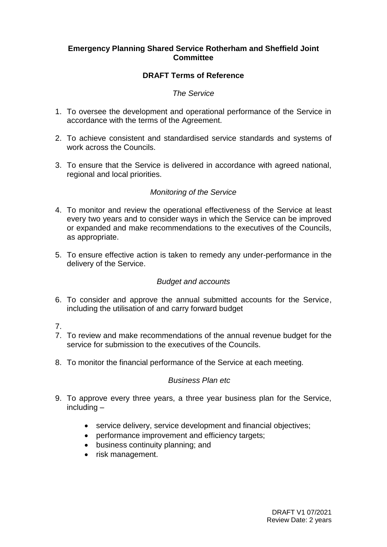# **Emergency Planning Shared Service Rotherham and Sheffield Joint Committee**

# **DRAFT Terms of Reference**

### *The Service*

- 1. To oversee the development and operational performance of the Service in accordance with the terms of the Agreement.
- 2. To achieve consistent and standardised service standards and systems of work across the Councils.
- 3. To ensure that the Service is delivered in accordance with agreed national, regional and local priorities.

# *Monitoring of the Service*

- 4. To monitor and review the operational effectiveness of the Service at least every two years and to consider ways in which the Service can be improved or expanded and make recommendations to the executives of the Councils, as appropriate.
- 5. To ensure effective action is taken to remedy any under-performance in the delivery of the Service.

#### *Budget and accounts*

- 6. To consider and approve the annual submitted accounts for the Service, including the utilisation of and carry forward budget
- 7.
- 7. To review and make recommendations of the annual revenue budget for the service for submission to the executives of the Councils.
- 8. To monitor the financial performance of the Service at each meeting.

#### *Business Plan etc*

- 9. To approve every three years, a three year business plan for the Service, including –
	- service delivery, service development and financial objectives;
	- performance improvement and efficiency targets;
	- business continuity planning; and
	- risk management.